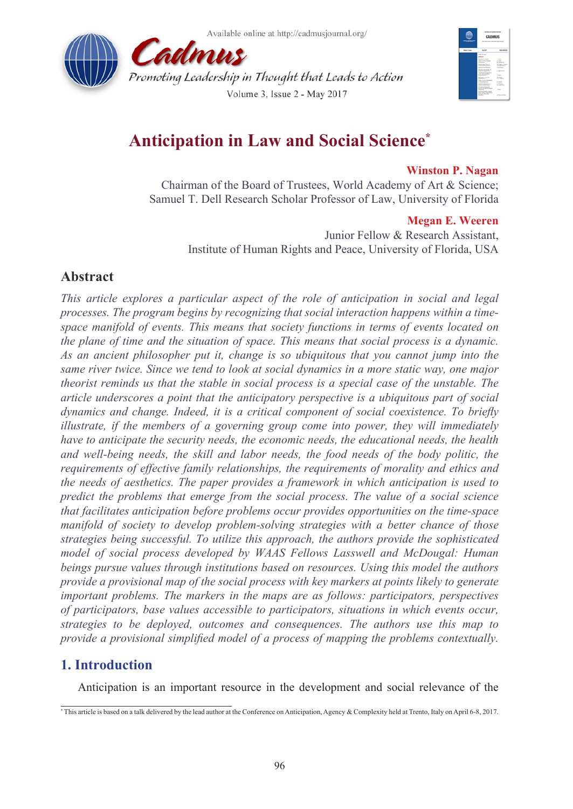Available online at http://cadmusjournal.org/





# **Anticipation in Law and Social Science\***

#### **Winston P. Nagan**

Chairman of the Board of Trustees, World Academy of Art & Science; Samuel T. Dell Research Scholar Professor of Law, University of Florida

#### **Megan E. Weeren**

Junior Fellow & Research Assistant, Institute of Human Rights and Peace, University of Florida, USA

# **Abstract**

*This article explores a particular aspect of the role of anticipation in social and legal processes. The program begins by recognizing that social interaction happens within a timespace manifold of events. This means that society functions in terms of events located on the plane of time and the situation of space. This means that social process is a dynamic. As an ancient philosopher put it, change is so ubiquitous that you cannot jump into the same river twice. Since we tend to look at social dynamics in a more static way, one major theorist reminds us that the stable in social process is a special case of the unstable. The article underscores a point that the anticipatory perspective is a ubiquitous part of social dynamics and change. Indeed, it is a critical component of social coexistence. To briefly illustrate, if the members of a governing group come into power, they will immediately have to anticipate the security needs, the economic needs, the educational needs, the health and well-being needs, the skill and labor needs, the food needs of the body politic, the requirements of effective family relationships, the requirements of morality and ethics and the needs of aesthetics. The paper provides a framework in which anticipation is used to predict the problems that emerge from the social process. The value of a social science that facilitates anticipation before problems occur provides opportunities on the time-space manifold of society to develop problem-solving strategies with a better chance of those strategies being successful. To utilize this approach, the authors provide the sophisticated model of social process developed by WAAS Fellows Lasswell and McDougal: Human beings pursue values through institutions based on resources. Using this model the authors provide a provisional map of the social process with key markers at points likely to generate important problems. The markers in the maps are as follows: participators, perspectives of participators, base values accessible to participators, situations in which events occur, strategies to be deployed, outcomes and consequences. The authors use this map to provide a provisional simplified model of a process of mapping the problems contextually.* 

# **1. Introduction**

Anticipation is an important resource in the development and social relevance of the

<sup>\*</sup> This article is based on a talk delivered by the lead author at the Conference on Anticipation, Agency & Complexity held at Trento, Italy on April 6-8, 2017.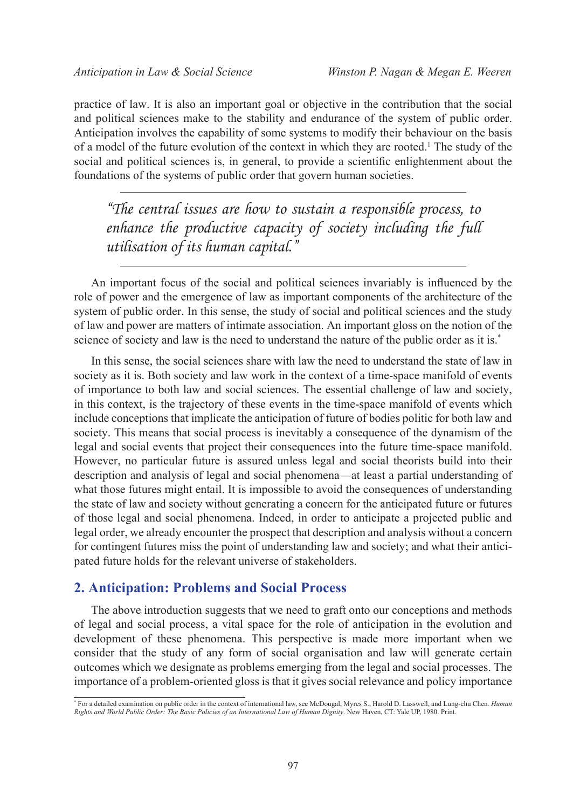practice of law. It is also an important goal or objective in the contribution that the social and political sciences make to the stability and endurance of the system of public order. Anticipation involves the capability of some systems to modify their behaviour on the basis of a model of the future evolution of the context in which they are rooted.<sup>1</sup> The study of the social and political sciences is, in general, to provide a scientific enlightenment about the foundations of the systems of public order that govern human societies.

*"The central issues are how to sustain a responsible process, to enhance the productive capacity of society including the full utilisation of its human capital."*

An important focus of the social and political sciences invariably is influenced by the role of power and the emergence of law as important components of the architecture of the system of public order. In this sense, the study of social and political sciences and the study of law and power are matters of intimate association. An important gloss on the notion of the science of society and law is the need to understand the nature of the public order as it is.\*

In this sense, the social sciences share with law the need to understand the state of law in society as it is. Both society and law work in the context of a time-space manifold of events of importance to both law and social sciences. The essential challenge of law and society, in this context, is the trajectory of these events in the time-space manifold of events which include conceptions that implicate the anticipation of future of bodies politic for both law and society. This means that social process is inevitably a consequence of the dynamism of the legal and social events that project their consequences into the future time-space manifold. However, no particular future is assured unless legal and social theorists build into their description and analysis of legal and social phenomena—at least a partial understanding of what those futures might entail. It is impossible to avoid the consequences of understanding the state of law and society without generating a concern for the anticipated future or futures of those legal and social phenomena. Indeed, in order to anticipate a projected public and legal order, we already encounter the prospect that description and analysis without a concern for contingent futures miss the point of understanding law and society; and what their anticipated future holds for the relevant universe of stakeholders.

#### **2. Anticipation: Problems and Social Process**

The above introduction suggests that we need to graft onto our conceptions and methods of legal and social process, a vital space for the role of anticipation in the evolution and development of these phenomena. This perspective is made more important when we consider that the study of any form of social organisation and law will generate certain outcomes which we designate as problems emerging from the legal and social processes. The importance of a problem-oriented gloss is that it gives social relevance and policy importance

<sup>\*</sup> For a detailed examination on public order in the context of international law, see McDougal, Myres S., Harold D. Lasswell, and Lung-chu Chen. *Human Rights and World Public Order: The Basic Policies of an International Law of Human Dignity*. New Haven, CT: Yale UP, 1980. Print.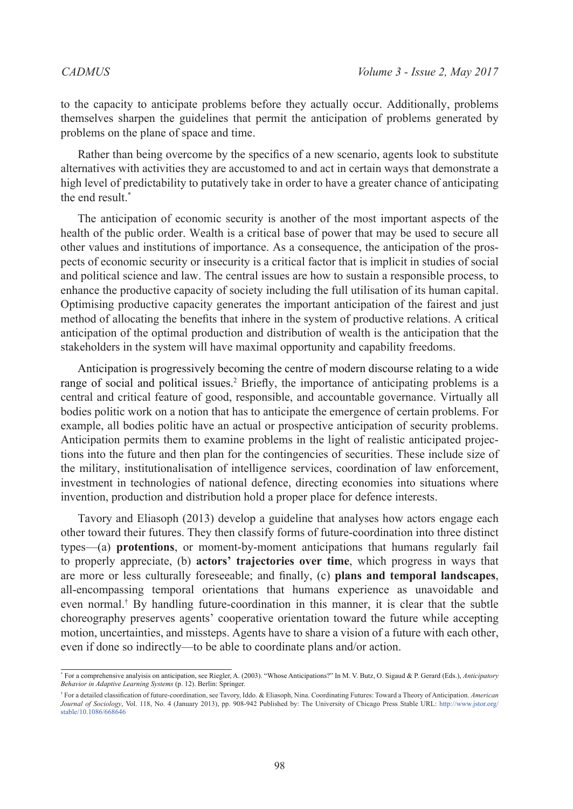to the capacity to anticipate problems before they actually occur. Additionally, problems themselves sharpen the guidelines that permit the anticipation of problems generated by problems on the plane of space and time.

Rather than being overcome by the specifics of a new scenario, agents look to substitute alternatives with activities they are accustomed to and act in certain ways that demonstrate a high level of predictability to putatively take in order to have a greater chance of anticipating the end result<sup>\*</sup>

The anticipation of economic security is another of the most important aspects of the health of the public order. Wealth is a critical base of power that may be used to secure all other values and institutions of importance. As a consequence, the anticipation of the prospects of economic security or insecurity is a critical factor that is implicit in studies of social and political science and law. The central issues are how to sustain a responsible process, to enhance the productive capacity of society including the full utilisation of its human capital. Optimising productive capacity generates the important anticipation of the fairest and just method of allocating the benefits that inhere in the system of productive relations. A critical anticipation of the optimal production and distribution of wealth is the anticipation that the stakeholders in the system will have maximal opportunity and capability freedoms.

Anticipation is progressively becoming the centre of modern discourse relating to a wide range of social and political issues.<sup>2</sup> Briefly, the importance of anticipating problems is a central and critical feature of good, responsible, and accountable governance. Virtually all bodies politic work on a notion that has to anticipate the emergence of certain problems. For example, all bodies politic have an actual or prospective anticipation of security problems. Anticipation permits them to examine problems in the light of realistic anticipated projections into the future and then plan for the contingencies of securities. These include size of the military, institutionalisation of intelligence services, coordination of law enforcement, investment in technologies of national defence, directing economies into situations where invention, production and distribution hold a proper place for defence interests.

Tavory and Eliasoph (2013) develop a guideline that analyses how actors engage each other toward their futures. They then classify forms of future-coordination into three distinct types—(a) **protentions**, or moment-by-moment anticipations that humans regularly fail to properly appreciate, (b) **actors' trajectories over time**, which progress in ways that are more or less culturally foreseeable; and finally, (c) **plans and temporal landscapes**, all-encompassing temporal orientations that humans experience as unavoidable and even normal.<sup>†</sup> By handling future-coordination in this manner, it is clear that the subtle choreography preserves agents' cooperative orientation toward the future while accepting motion, uncertainties, and missteps. Agents have to share a vision of a future with each other, even if done so indirectly—to be able to coordinate plans and/or action.

<sup>\*</sup> For a comprehensive analyisis on anticipation, see Riegler, A. (2003). "Whose Anticipations?" In M. V. Butz, O. Sigaud & P. Gerard (Eds.), *Anticipatory Behavior in Adaptive Learning Systems* (p. 12). Berlin: Springer.

<sup>†</sup> For a detailed classification of future-coordination, see Tavory, Iddo. & Eliasoph, Nina. Coordinating Futures: Toward a Theory of Anticipation. *American Journal of Sociology*, Vol. 118, No. 4 (January 2013), pp. 908-942 Published by: The University of Chicago Press Stable URL: http://www.jstor.org/ stable/10.1086/668646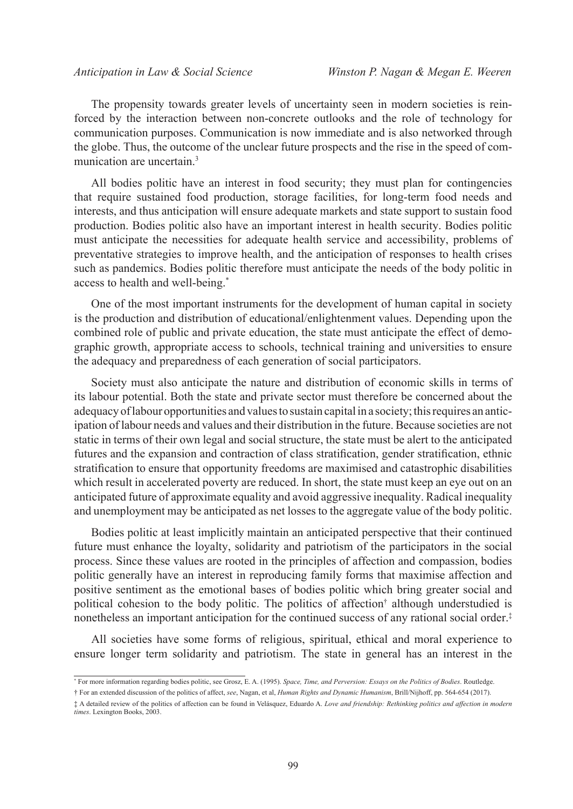The propensity towards greater levels of uncertainty seen in modern societies is reinforced by the interaction between non-concrete outlooks and the role of technology for communication purposes. Communication is now immediate and is also networked through the globe. Thus, the outcome of the unclear future prospects and the rise in the speed of communication are uncertain[.3](#page-9-2)

All bodies politic have an interest in food security; they must plan for contingencies that require sustained food production, storage facilities, for long-term food needs and interests, and thus anticipation will ensure adequate markets and state support to sustain food production. Bodies politic also have an important interest in health security. Bodies politic must anticipate the necessities for adequate health service and accessibility, problems of preventative strategies to improve health, and the anticipation of responses to health crises such as pandemics. Bodies politic therefore must anticipate the needs of the body politic in access to health and well-being.\*

One of the most important instruments for the development of human capital in society is the production and distribution of educational/enlightenment values. Depending upon the combined role of public and private education, the state must anticipate the effect of demographic growth, appropriate access to schools, technical training and universities to ensure the adequacy and preparedness of each generation of social participators.

Society must also anticipate the nature and distribution of economic skills in terms of its labour potential. Both the state and private sector must therefore be concerned about the adequacy of labour opportunities and values to sustain capital in a society; this requires an anticipation of labour needs and values and their distribution in the future. Because societies are not static in terms of their own legal and social structure, the state must be alert to the anticipated futures and the expansion and contraction of class stratification, gender stratification, ethnic stratification to ensure that opportunity freedoms are maximised and catastrophic disabilities which result in accelerated poverty are reduced. In short, the state must keep an eye out on an anticipated future of approximate equality and avoid aggressive inequality. Radical inequality and unemployment may be anticipated as net losses to the aggregate value of the body politic.

Bodies politic at least implicitly maintain an anticipated perspective that their continued future must enhance the loyalty, solidarity and patriotism of the participators in the social process. Since these values are rooted in the principles of affection and compassion, bodies politic generally have an interest in reproducing family forms that maximise affection and positive sentiment as the emotional bases of bodies politic which bring greater social and political cohesion to the body politic. The politics of affection† although understudied is nonetheless an important anticipation for the continued success of any rational social order.‡

All societies have some forms of religious, spiritual, ethical and moral experience to ensure longer term solidarity and patriotism. The state in general has an interest in the

<sup>\*</sup> For more information regarding bodies politic, see Grosz, E. A. (1995). *Space, Time, and Perversion: Essays on the Politics of Bodies*. Routledge.

<sup>†</sup> For an extended discussion of the politics of affect, *see*, Nagan, et al, *Human Rights and Dynamic Humanism*, Brill/Nijhoff, pp. 564-654 (2017).

<sup>‡</sup> A detailed review of the politics of affection can be found in Velásquez, Eduardo A. *Love and friendship: Rethinking politics and affection in modern times*. Lexington Books, 2003.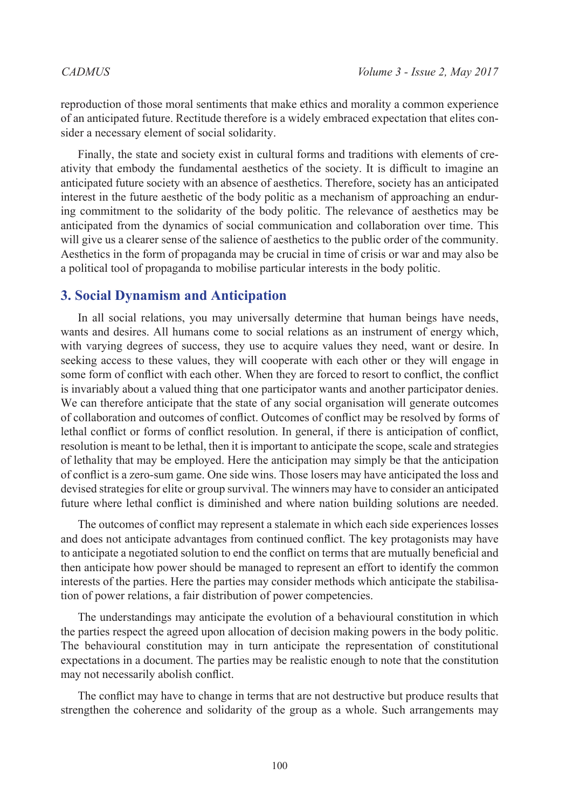reproduction of those moral sentiments that make ethics and morality a common experience of an anticipated future. Rectitude therefore is a widely embraced expectation that elites consider a necessary element of social solidarity.

Finally, the state and society exist in cultural forms and traditions with elements of creativity that embody the fundamental aesthetics of the society. It is difficult to imagine an anticipated future society with an absence of aesthetics. Therefore, society has an anticipated interest in the future aesthetic of the body politic as a mechanism of approaching an enduring commitment to the solidarity of the body politic. The relevance of aesthetics may be anticipated from the dynamics of social communication and collaboration over time. This will give us a clearer sense of the salience of aesthetics to the public order of the community. Aesthetics in the form of propaganda may be crucial in time of crisis or war and may also be a political tool of propaganda to mobilise particular interests in the body politic.

#### **3. Social Dynamism and Anticipation**

In all social relations, you may universally determine that human beings have needs, wants and desires. All humans come to social relations as an instrument of energy which, with varying degrees of success, they use to acquire values they need, want or desire. In seeking access to these values, they will cooperate with each other or they will engage in some form of conflict with each other. When they are forced to resort to conflict, the conflict is invariably about a valued thing that one participator wants and another participator denies. We can therefore anticipate that the state of any social organisation will generate outcomes of collaboration and outcomes of conflict. Outcomes of conflict may be resolved by forms of lethal conflict or forms of conflict resolution. In general, if there is anticipation of conflict, resolution is meant to be lethal, then it is important to anticipate the scope, scale and strategies of lethality that may be employed. Here the anticipation may simply be that the anticipation of conflict is a zero-sum game. One side wins. Those losers may have anticipated the loss and devised strategies for elite or group survival. The winners may have to consider an anticipated future where lethal conflict is diminished and where nation building solutions are needed.

The outcomes of conflict may represent a stalemate in which each side experiences losses and does not anticipate advantages from continued conflict. The key protagonists may have to anticipate a negotiated solution to end the conflict on terms that are mutually beneficial and then anticipate how power should be managed to represent an effort to identify the common interests of the parties. Here the parties may consider methods which anticipate the stabilisation of power relations, a fair distribution of power competencies.

The understandings may anticipate the evolution of a behavioural constitution in which the parties respect the agreed upon allocation of decision making powers in the body politic. The behavioural constitution may in turn anticipate the representation of constitutional expectations in a document. The parties may be realistic enough to note that the constitution may not necessarily abolish conflict.

The conflict may have to change in terms that are not destructive but produce results that strengthen the coherence and solidarity of the group as a whole. Such arrangements may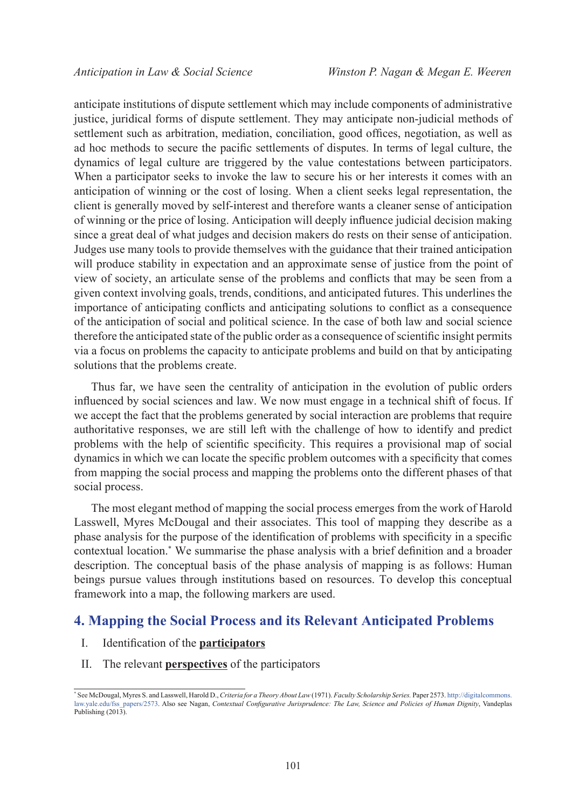anticipate institutions of dispute settlement which may include components of administrative justice, juridical forms of dispute settlement. They may anticipate non-judicial methods of settlement such as arbitration, mediation, conciliation, good offices, negotiation, as well as ad hoc methods to secure the pacific settlements of disputes. In terms of legal culture, the dynamics of legal culture are triggered by the value contestations between participators. When a participator seeks to invoke the law to secure his or her interests it comes with an anticipation of winning or the cost of losing. When a client seeks legal representation, the client is generally moved by self-interest and therefore wants a cleaner sense of anticipation of winning or the price of losing. Anticipation will deeply influence judicial decision making since a great deal of what judges and decision makers do rests on their sense of anticipation. Judges use many tools to provide themselves with the guidance that their trained anticipation will produce stability in expectation and an approximate sense of justice from the point of view of society, an articulate sense of the problems and conflicts that may be seen from a given context involving goals, trends, conditions, and anticipated futures. This underlines the importance of anticipating conflicts and anticipating solutions to conflict as a consequence of the anticipation of social and political science. In the case of both law and social science therefore the anticipated state of the public order as a consequence of scientific insight permits via a focus on problems the capacity to anticipate problems and build on that by anticipating solutions that the problems create.

Thus far, we have seen the centrality of anticipation in the evolution of public orders influenced by social sciences and law. We now must engage in a technical shift of focus. If we accept the fact that the problems generated by social interaction are problems that require authoritative responses, we are still left with the challenge of how to identify and predict problems with the help of scientific specificity. This requires a provisional map of social dynamics in which we can locate the specific problem outcomes with a specificity that comes from mapping the social process and mapping the problems onto the different phases of that social process.

The most elegant method of mapping the social process emerges from the work of Harold Lasswell, Myres McDougal and their associates. This tool of mapping they describe as a phase analysis for the purpose of the identification of problems with specificity in a specific contextual location.\* We summarise the phase analysis with a brief definition and a broader description. The conceptual basis of the phase analysis of mapping is as follows: Human beings pursue values through institutions based on resources. To develop this conceptual framework into a map, the following markers are used.

# **4. Mapping the Social Process and its Relevant Anticipated Problems**

- I. Identification of the **participators**
- II. The relevant **perspectives** of the participators

<sup>\*</sup> See McDougal, Myres S. and Lasswell, Harold D., *Criteria for a Theory About Law* (1971). *Faculty Scholarship Series.* Paper 2573. [http://digitalcommons.](http://digitalcommons.law.yale.edu/fss_papers/2573) [law.yale.edu/fss\\_papers/2573.](http://digitalcommons.law.yale.edu/fss_papers/2573) Also see Nagan, *Contextual Configurative Jurisprudence: The Law, Science and Policies of Human Dignity*, Vandeplas Publishing (2013).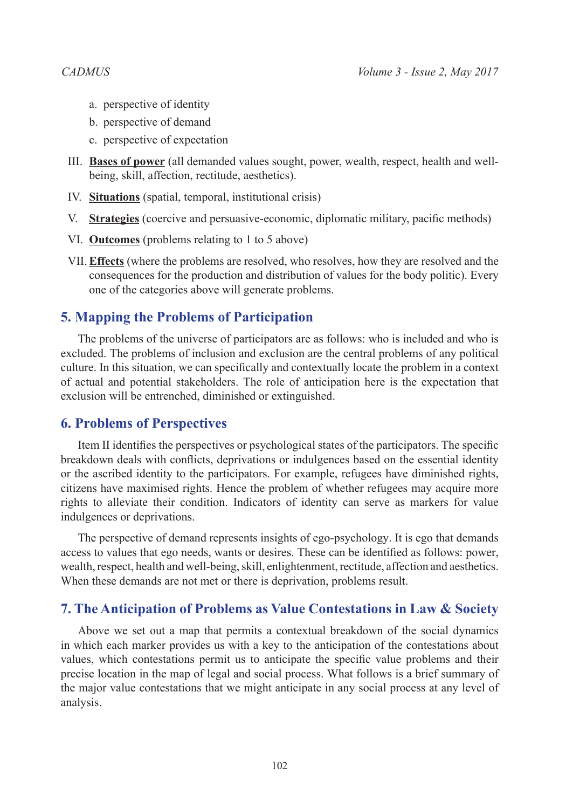- a. perspective of identity
- b. perspective of demand
- c. perspective of expectation
- III. **Bases of power** (all demanded values sought, power, wealth, respect, health and wellbeing, skill, affection, rectitude, aesthetics).
- IV. **Situations** (spatial, temporal, institutional crisis)
- V. **Strategies** (coercive and persuasive-economic, diplomatic military, pacific methods)
- VI. **Outcomes** (problems relating to 1 to 5 above)
- VII.**Effects** (where the problems are resolved, who resolves, how they are resolved and the consequences for the production and distribution of values for the body politic). Every one of the categories above will generate problems.

### **5. Mapping the Problems of Participation**

The problems of the universe of participators are as follows: who is included and who is excluded. The problems of inclusion and exclusion are the central problems of any political culture. In this situation, we can specifically and contextually locate the problem in a context of actual and potential stakeholders. The role of anticipation here is the expectation that exclusion will be entrenched, diminished or extinguished.

### **6. Problems of Perspectives**

Item II identifies the perspectives or psychological states of the participators. The specific breakdown deals with conflicts, deprivations or indulgences based on the essential identity or the ascribed identity to the participators. For example, refugees have diminished rights, citizens have maximised rights. Hence the problem of whether refugees may acquire more rights to alleviate their condition. Indicators of identity can serve as markers for value indulgences or deprivations.

The perspective of demand represents insights of ego-psychology. It is ego that demands access to values that ego needs, wants or desires. These can be identified as follows: power, wealth, respect, health and well-being, skill, enlightenment, rectitude, affection and aesthetics. When these demands are not met or there is deprivation, problems result.

### **7. The Anticipation of Problems as Value Contestations in Law & Society**

Above we set out a map that permits a contextual breakdown of the social dynamics in which each marker provides us with a key to the anticipation of the contestations about values, which contestations permit us to anticipate the specific value problems and their precise location in the map of legal and social process. What follows is a brief summary of the major value contestations that we might anticipate in any social process at any level of analysis.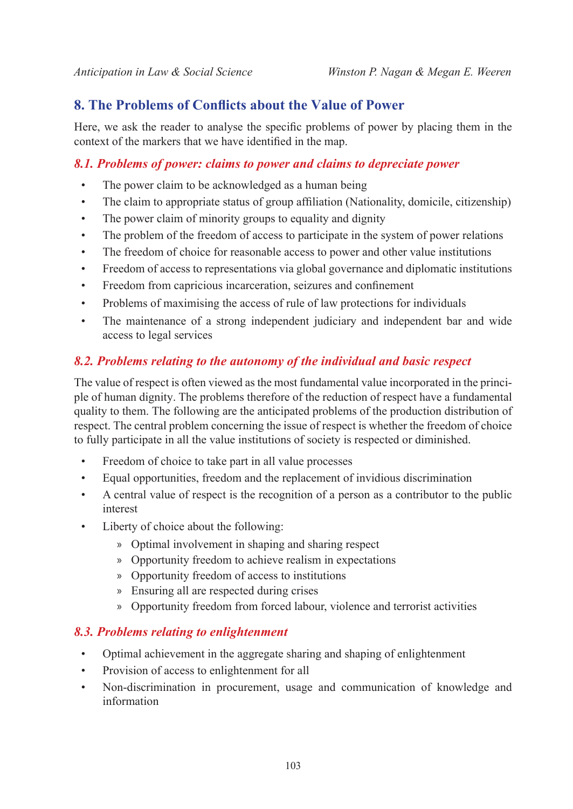# **8. The Problems of Conflicts about the Value of Power**

Here, we ask the reader to analyse the specific problems of power by placing them in the context of the markers that we have identified in the map.

### *8.1. Problems of power: claims to power and claims to depreciate power*

- The power claim to be acknowledged as a human being
- The claim to appropriate status of group affiliation (Nationality, domicile, citizenship)
- The power claim of minority groups to equality and dignity
- The problem of the freedom of access to participate in the system of power relations
- The freedom of choice for reasonable access to power and other value institutions
- Freedom of access to representations via global governance and diplomatic institutions
- Freedom from capricious incarceration, seizures and confinement
- Problems of maximising the access of rule of law protections for individuals
- The maintenance of a strong independent judiciary and independent bar and wide access to legal services

### *8.2. Problems relating to the autonomy of the individual and basic respect*

The value of respect is often viewed as the most fundamental value incorporated in the principle of human dignity. The problems therefore of the reduction of respect have a fundamental quality to them. The following are the anticipated problems of the production distribution of respect. The central problem concerning the issue of respect is whether the freedom of choice to fully participate in all the value institutions of society is respected or diminished.

- Freedom of choice to take part in all value processes
- Equal opportunities, freedom and the replacement of invidious discrimination
- A central value of respect is the recognition of a person as a contributor to the public interest
- Liberty of choice about the following:
	- » Optimal involvement in shaping and sharing respect
	- » Opportunity freedom to achieve realism in expectations
	- » Opportunity freedom of access to institutions
	- » Ensuring all are respected during crises
	- » Opportunity freedom from forced labour, violence and terrorist activities

#### *8.3. Problems relating to enlightenment*

- Optimal achievement in the aggregate sharing and shaping of enlightenment
- Provision of access to enlightenment for all
- Non-discrimination in procurement, usage and communication of knowledge and information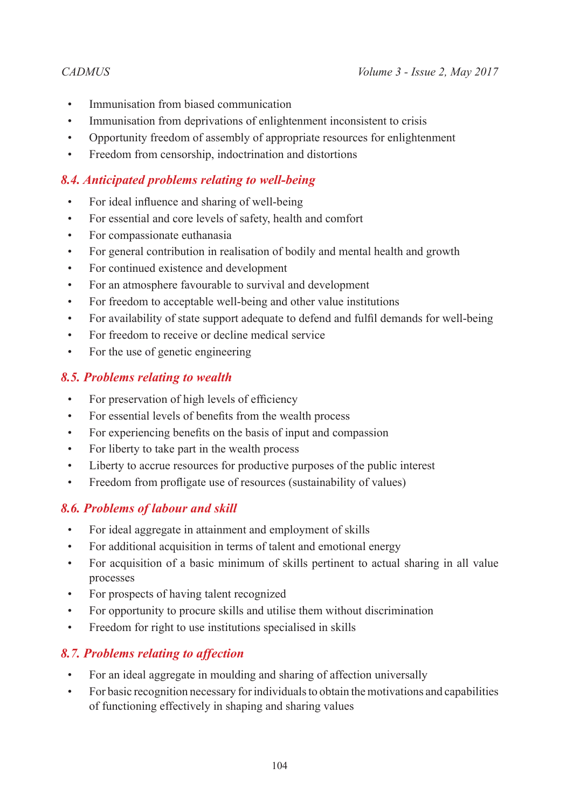- Immunisation from biased communication
- Immunisation from deprivations of enlightenment inconsistent to crisis
- Opportunity freedom of assembly of appropriate resources for enlightenment
- Freedom from censorship, indoctrination and distortions

# *8.4. Anticipated problems relating to well-being*

- For ideal influence and sharing of well-being
- For essential and core levels of safety, health and comfort
- For compassionate euthanasia
- For general contribution in realisation of bodily and mental health and growth
- For continued existence and development
- For an atmosphere favourable to survival and development
- For freedom to acceptable well-being and other value institutions
- For availability of state support adequate to defend and fulfil demands for well-being
- For freedom to receive or decline medical service
- For the use of genetic engineering

# *8.5. Problems relating to wealth*

- For preservation of high levels of efficiency
- For essential levels of benefits from the wealth process
- For experiencing benefits on the basis of input and compassion
- For liberty to take part in the wealth process
- Liberty to accrue resources for productive purposes of the public interest
- Freedom from profligate use of resources (sustainability of values)

# *8.6. Problems of labour and skill*

- For ideal aggregate in attainment and employment of skills
- For additional acquisition in terms of talent and emotional energy
- For acquisition of a basic minimum of skills pertinent to actual sharing in all value processes
- For prospects of having talent recognized
- For opportunity to procure skills and utilise them without discrimination
- Freedom for right to use institutions specialised in skills

# *8.7. Problems relating to affection*

- For an ideal aggregate in moulding and sharing of affection universally
- For basic recognition necessary for individuals to obtain the motivations and capabilities of functioning effectively in shaping and sharing values